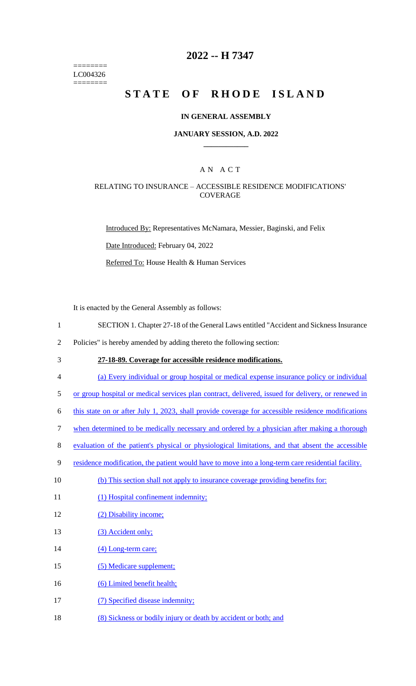======== LC004326 ========

### **2022 -- H 7347**

# STATE OF RHODE ISLAND

#### **IN GENERAL ASSEMBLY**

#### **JANUARY SESSION, A.D. 2022 \_\_\_\_\_\_\_\_\_\_\_\_**

### A N A C T

#### RELATING TO INSURANCE – ACCESSIBLE RESIDENCE MODIFICATIONS' **COVERAGE**

Introduced By: Representatives McNamara, Messier, Baginski, and Felix

Date Introduced: February 04, 2022

Referred To: House Health & Human Services

It is enacted by the General Assembly as follows:

- 1 SECTION 1. Chapter 27-18 of the General Laws entitled "Accident and Sickness Insurance
- 2 Policies" is hereby amended by adding thereto the following section:
- 

3 **27-18-89. Coverage for accessible residence modifications.** 

4 (a) Every individual or group hospital or medical expense insurance policy or individual

5 or group hospital or medical services plan contract, delivered, issued for delivery, or renewed in

6 this state on or after July 1, 2023, shall provide coverage for accessible residence modifications

- 7 when determined to be medically necessary and ordered by a physician after making a thorough
- 8 evaluation of the patient's physical or physiological limitations, and that absent the accessible
- 9 residence modification, the patient would have to move into a long-term care residential facility.
- 10 (b) This section shall not apply to insurance coverage providing benefits for:
- 11 (1) Hospital confinement indemnity;
- 12 (2) Disability income;
- 13 (3) Accident only;
- 14 (4) Long-term care;
- 15 (5) Medicare supplement;
- 16 (6) Limited benefit health;
- 17 (7) Specified disease indemnity;
- 18 (8) Sickness or bodily injury or death by accident or both; and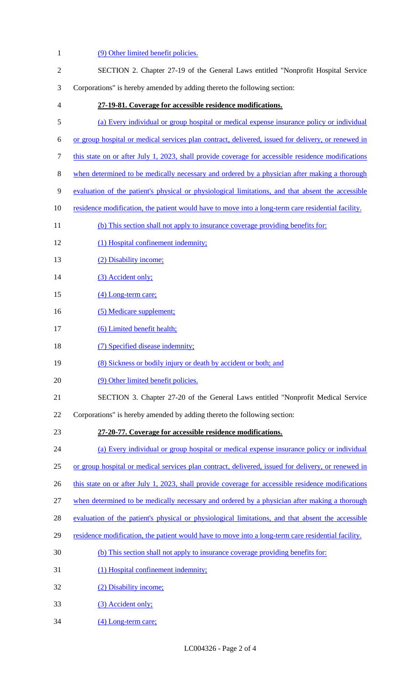(9) Other limited benefit policies. SECTION 2. Chapter 27-19 of the General Laws entitled "Nonprofit Hospital Service Corporations" is hereby amended by adding thereto the following section: **27-19-81. Coverage for accessible residence modifications.**  (a) Every individual or group hospital or medical expense insurance policy or individual or group hospital or medical services plan contract, delivered, issued for delivery, or renewed in this state on or after July 1, 2023, shall provide coverage for accessible residence modifications when determined to be medically necessary and ordered by a physician after making a thorough evaluation of the patient's physical or physiological limitations, and that absent the accessible 10 residence modification, the patient would have to move into a long-term care residential facility. 11 (b) This section shall not apply to insurance coverage providing benefits for: (1) Hospital confinement indemnity; 13 (2) Disability income; 14 (3) Accident only; 15 (4) Long-term care; 16 (5) Medicare supplement; 17 (6) Limited benefit health; 18 (7) Specified disease indemnity; 19 (8) Sickness or bodily injury or death by accident or both; and 20 (9) Other limited benefit policies. SECTION 3. Chapter 27-20 of the General Laws entitled "Nonprofit Medical Service Corporations" is hereby amended by adding thereto the following section: **27-20-77. Coverage for accessible residence modifications.**  (a) Every individual or group hospital or medical expense insurance policy or individual or group hospital or medical services plan contract, delivered, issued for delivery, or renewed in 26 this state on or after July 1, 2023, shall provide coverage for accessible residence modifications when determined to be medically necessary and ordered by a physician after making a thorough evaluation of the patient's physical or physiological limitations, and that absent the accessible residence modification, the patient would have to move into a long-term care residential facility. (b) This section shall not apply to insurance coverage providing benefits for: (1) Hospital confinement indemnity; (2) Disability income; (3) Accident only; (4) Long-term care;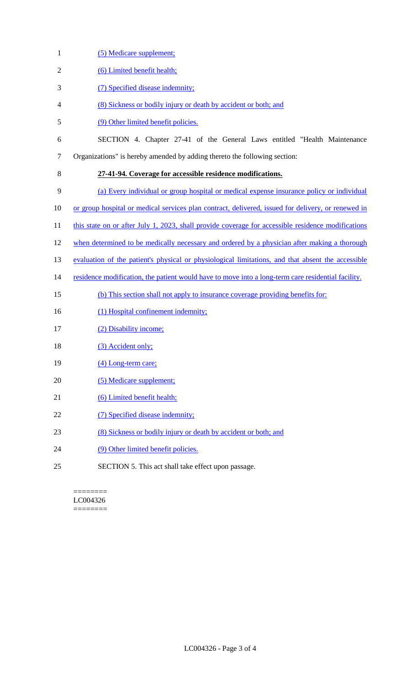- 1 (5) Medicare supplement; 2 (6) Limited benefit health; 3 (7) Specified disease indemnity; 4 (8) Sickness or bodily injury or death by accident or both; and 5 (9) Other limited benefit policies. 6 SECTION 4. Chapter 27-41 of the General Laws entitled "Health Maintenance 7 Organizations" is hereby amended by adding thereto the following section: 8 **27-41-94. Coverage for accessible residence modifications.**  9 (a) Every individual or group hospital or medical expense insurance policy or individual 10 or group hospital or medical services plan contract, delivered, issued for delivery, or renewed in 11 this state on or after July 1, 2023, shall provide coverage for accessible residence modifications 12 when determined to be medically necessary and ordered by a physician after making a thorough 13 evaluation of the patient's physical or physiological limitations, and that absent the accessible 14 residence modification, the patient would have to move into a long-term care residential facility. 15 (b) This section shall not apply to insurance coverage providing benefits for: 16 (1) Hospital confinement indemnity; 17 (2) Disability income; 18 (3) Accident only; 19 (4) Long-term care; 20 (5) Medicare supplement; 21 (6) Limited benefit health; 22 (7) Specified disease indemnity; 23 (8) Sickness or bodily injury or death by accident or both; and 24 (9) Other limited benefit policies.
- 25 SECTION 5. This act shall take effect upon passage.

======== LC004326 ========